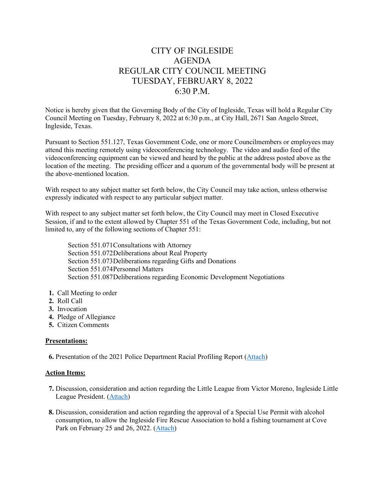# CITY OF INGLESIDE AGENDA REGULAR CITY COUNCIL MEETING TUESDAY, FEBRUARY 8, 2022 6:30 P.M.

Notice is hereby given that the Governing Body of the City of Ingleside, Texas will hold a Regular City Council Meeting on Tuesday, February 8, 2022 at 6:30 p.m., at City Hall, 2671 San Angelo Street, Ingleside, Texas.

Pursuant to Section 551.127, Texas Government Code, one or more Councilmembers or employees may attend this meeting remotely using videoconferencing technology. The video and audio feed of the videoconferencing equipment can be viewed and heard by the public at the address posted above as the location of the meeting. The presiding officer and a quorum of the governmental body will be present at the above-mentioned location.

With respect to any subject matter set forth below, the City Council may take action, unless otherwise expressly indicated with respect to any particular subject matter.

With respect to any subject matter set forth below, the City Council may meet in Closed Executive Session, if and to the extent allowed by Chapter 551 of the Texas Government Code, including, but not limited to, any of the following sections of Chapter 551:

Section 551.071Consultations with Attorney Section 551.072Deliberations about Real Property Section 551.073Deliberations regarding Gifts and Donations Section 551.074Personnel Matters Section 551.087Deliberations regarding Economic Development Negotiations

- **1.** Call Meeting to order
- **2.** Roll Call
- **3.** Invocation
- **4.** Pledge of Allegiance
- **5.** Citizen Comments

### **Presentations:**

 **6.** Presentation of the 2021 Police Department Racial Profiling Report [\(Attach\)](https://tx-ingleside.civicplus.com/DocumentCenter/View/823/6-PD-Presentation)

### **Action Items:**

- **7.** Discussion, consideration and action regarding the Little League from Victor Moreno, Ingleside Little League President. [\(Attach\)](https://tx-ingleside.civicplus.com/DocumentCenter/View/824/7-Little-League)
- **8.** Discussion, consideration and action regarding the approval of a Special Use Permit with alcohol consumption, to allow the Ingleside Fire Rescue Association to hold a fishing tournament at Cove Park on February 25 and 26, 2022. [\(Attach\)](https://tx-ingleside.civicplus.com/DocumentCenter/View/825/8-Special-Use-Permit-IFR)